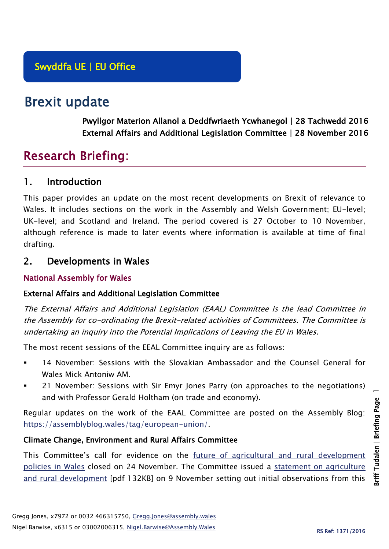# Brexit update

Pwyllgor Materion Allanol a Deddfwriaeth Ycwhanegol | 28 Tachwedd 2016 External Affairs and Additional Legislation Committee | 28 November 2016

# Research Briefing:

## 1. Introduction

This paper provides an update on the most recent developments on Brexit of relevance to Wales. It includes sections on the work in the Assembly and Welsh Government; EU-level; UK-level; and Scotland and Ireland. The period covered is 27 October to 10 November, although reference is made to later events where information is available at time of final drafting.

# 2. Developments in Wales

### National Assembly for Wales

### External Affairs and Additional Legislation Committee

The External Affairs and Additional Legislation (EAAL) Committee is the lead Committee in the Assembly for co-ordinating the Brexit-related activities of Committees. The Committee is undertaking an inquiry into the Potential Implications of Leaving the EU in Wales.

The most recent sessions of the EEAL Committee inquiry are as follows:

- 14 November: Sessions with the Slovakian Ambassador and the Counsel General for Wales Mick Antoniw AM.
- 21 November: Sessions with Sir Emyr Jones Parry (on approaches to the negotiations) and with Professor Gerald Holtham (on trade and economy).

Regular updates on the work of the EAAL Committee are posted on the Assembly Blog: [https://assemblyblog.wales/tag/european-union/.](https://assemblyblog.wales/tag/european-union/)

### Climate Change, Environment and Rural Affairs Committee

This Committee's call for evidence on the [future of agricultural and rural development](http://www.senedd.assembly.wales/mgIssueHistoryHome.aspx?IId=15876)  [policies in Wales](http://www.senedd.assembly.wales/mgIssueHistoryHome.aspx?IId=15876) closed on 24 November. The Committee issued a [statement on agriculture](http://www.senedd.assembly.wales/documents/s55766/Statement%20by%20the%20Chair%20of%20the%20Committee%20-%208%20November%202016.pdf)  [and rural development](http://www.senedd.assembly.wales/documents/s55766/Statement%20by%20the%20Chair%20of%20the%20Committee%20-%208%20November%202016.pdf) [pdf 132KB] on 9 November setting out initial observations from this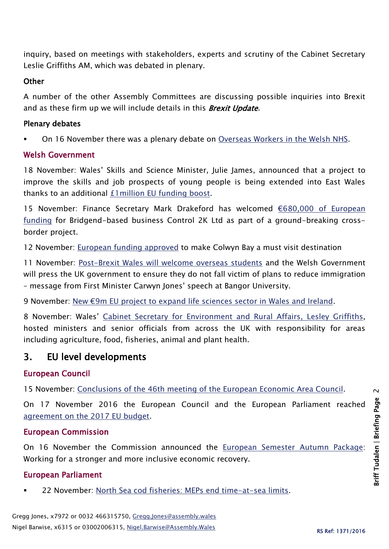inquiry, based on meetings with stakeholders, experts and scrutiny of the Cabinet Secretary Leslie Griffiths AM, which was debated in plenary.

#### **Other**

A number of the other Assembly Committees are discussing possible inquiries into Brexit and as these firm up we will include details in this **Brexit Update**.

### Plenary debates

On 16 November there was a plenary debate on [Overseas Workers in the Welsh NHS.](http://www.assembly.wales/en/bus-home/pages/rop.aspx?meetingid=4005&assembly=5&c=Record%20of%20Proceedings#441040)

### Welsh Government

18 November: Wales' Skills and Science Minister, Julie James, announced that a project to improve the skills and job prospects of young people is being extended into East Wales thanks to an additional [£1million EU funding boost.](http://gov.wales/newsroom/educationandskills/2016/161118-minister-announces-new-1m-eu-funding-for-youth-skills-at-uks-largest-skills-even/?lang=en)

15 November: Finance Secretary Mark Drakeford has welcomed [€680,000 of European](http://gov.wales/newsroom/finance1/2016/58741599/?lang=en)  [funding](http://gov.wales/newsroom/finance1/2016/58741599/?lang=en) for Bridgend-based business Control 2K Ltd as part of a ground-breaking crossborder project.

12 November: [European funding approved](http://gov.wales/newsroom/firstminister/2016/58735134/?lang=en) to make Colwyn Bay a must visit destination

11 November: [Post-Brexit Wales will welcome overseas students](file:///C:/Users/jonesg6/AppData/Local/Microsoft/Windows/Temporary%20Internet%20Files/Content.Outlook/STA5GEAG/Post-Brexit%20Wales%20will%20welcome%20overseas%20students%20and%20the%20Welsh%20Government%20will%20press%20the%20UK%20government%20to%20ensure%20they%20do%20not%20fall%20victim%20of%20plans%20to%20reduce%20immigration.) and the Welsh Government will press the UK government to ensure they do not fall victim of plans to reduce immigration – message from First Minister Carwyn Jones' speech at Bangor University.

9 November: [New €9m EU project to expand life sciences sector in Wales and Ireland](http://gov.wales/newsroom/finance1/2016/58724620/?lang=en).

8 November: Wales' [Cabinet Secretary for Environment and Rural Affairs, Lesley Griffiths,](http://gov.wales/newsroom/environmentandcountryside/2016/161108-environment-and-rural-affairs-secretary-hosts-key-meeting-with-uk-government-and-devolved-administrations/?lang=en) hosted ministers and senior officials from across the UK with responsibility for areas including agriculture, food, fisheries, animal and plant health.

# 3. EU level developments

### European Council

15 November: [Conclusions of the 46th meeting of the European Economic Area Council.](http://www.consilium.europa.eu/en/press/press-releases/2016/11/15-conclusions-eea-46-meeting/)

On 17 November 2016 the European Council and the European Parliament reached [agreement on the 2017 EU budget.](http://www.consilium.europa.eu/en/press/press-releases/2016/11/16-budget-2017/)

### European Commission

On 16 November the Commission announced the [European Semester Autumn Package:](http://europa.eu/rapid/press-release_IP-16-3664_en.htm) Working for a stronger and more inclusive economic recovery.

### European Parliament

22 November: [North Sea cod fisheries: MEPs end time-at-sea limits.](http://www.europarl.europa.eu/news/en/news-room/20161117IPR51566/north-sea-cod-fisheries-meps-end-time-at-sea-limits)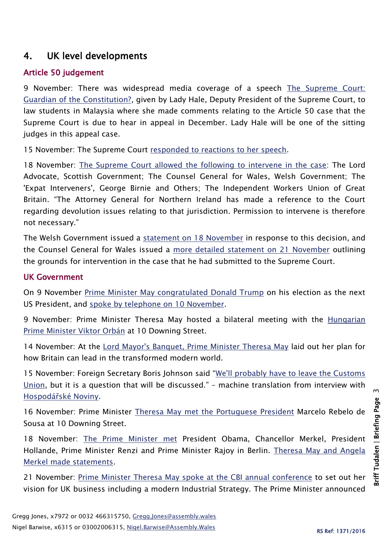# 4. UK level developments

## Article 50 judgement

9 November: There was widespread media coverage of a speech [The Supreme Court:](https://www.supremecourt.uk/docs/speech-161109.pdf)  [Guardian of the Constitution?,](https://www.supremecourt.uk/docs/speech-161109.pdf) given by Lady Hale, Deputy President of the Supreme Court, to law students in Malaysia where she made comments relating to the Article 50 case that the Supreme Court is due to hear in appeal in December. Lady Hale will be one of the sitting judges in this appeal case.

15 November: The Supreme Court [responded to reactions to her speech.](https://www.supremecourt.uk/news/lady-hales-lecture-the-supreme-court-guardian-of-the-constitution.html)

18 November: [The Supreme Court allowed the following to intervene in the case:](https://www.supremecourt.uk/news/interveners-article-50-brexit-case.html) The Lord Advocate, Scottish Government; The Counsel General for Wales, Welsh Government; The 'Expat Interveners', George Birnie and Others; The Independent Workers Union of Great Britain. "The Attorney General for Northern Ireland has made a reference to the Court regarding devolution issues relating to that jurisdiction. Permission to intervene is therefore not necessary."

The Welsh Government issued a [statement on 18 November](http://gov.wales/newsroom/firstminister/2016/161118sc/?lang=en) in response to this decision, and the Counsel General for Wales issued a [more detailed statement on 21 November](http://gov.wales/about/cabinet/cabinetstatements/2016-new/article50litigation/?lang=en) outlining the grounds for intervention in the case that he had submitted to the Supreme Court.

### UK Government

On 9 November [Prime Minister May congratulated Donald Trump](https://www.gov.uk/government/news/pm-congratulates-donald-trump-on-his-election-as-the-next-us-president) on his election as the next US President, and [spoke by telephone on 10 November.](https://www.gov.uk/government/news/pm-call-with-president-elect-donald-trump-10-november-2016)

9 November: Prime Minister Theresa May hosted a bilateral meeting with the [Hungarian](https://www.gov.uk/government/news/pm-meeting-with-prime-minister-orban-of-hungary-9-november-2016)  [Prime Minister Viktor Orbán](https://www.gov.uk/government/news/pm-meeting-with-prime-minister-orban-of-hungary-9-november-2016) at 10 Downing Street.

14 November: At the [Lord Mayor's Banquet, Prime Minister Theresa May](https://www.gov.uk/government/speeches/pm-speech-to-the-lord-mayors-banquet-14-november-2016) laid out her plan for how Britain can lead in the transformed modern world.

15 November: Foreign Secretary Boris Johnson said "[We'll probably have to leave the Customs](https://translate.google.co.uk/translate?sl=cs&tl=en&js=y&prev=_t&hl=en&ie=UTF-8&u=http%3A%2F%2Farchiv.ihned.cz%2Fc1-65518960-nespoutany-boris&edit-text=)  [Union,](https://translate.google.co.uk/translate?sl=cs&tl=en&js=y&prev=_t&hl=en&ie=UTF-8&u=http%3A%2F%2Farchiv.ihned.cz%2Fc1-65518960-nespoutany-boris&edit-text=) but it is a question that will be discussed." – machine translation from interview with Hospodář[ské Noviny.](http://archiv.ihned.cz/c1-65518960-nespoutany-boris)

16 November: Prime Minister [Theresa May met the Portuguese](https://www.gov.uk/government/news/pm-meeting-with-president-marcelo-rebelo-de-sousa-of-portugal-16-november-2016) President Marcelo Rebelo de Sousa at 10 Downing Street.

18 November: [The Prime Minister met](https://www.gov.uk/government/news/pm-meetings-in-berlin-18-november-2016) President Obama, Chancellor Merkel, President Hollande, Prime Minister Renzi and Prime Minister Rajoy in Berlin. [Theresa May and Angela](https://www.gov.uk/government/speeches/pm-and-chancellor-merkel-statements-18-november-2016)  [Merkel made statements.](https://www.gov.uk/government/speeches/pm-and-chancellor-merkel-statements-18-november-2016)

21 November: [Prime Minister Theresa May spoke at the CBI annual conference](https://www.gov.uk/government/speeches/cbi-annual-conference-2016-prime-ministers-speech) to set out her vision for UK business including a modern Industrial Strategy. The Prime Minister announced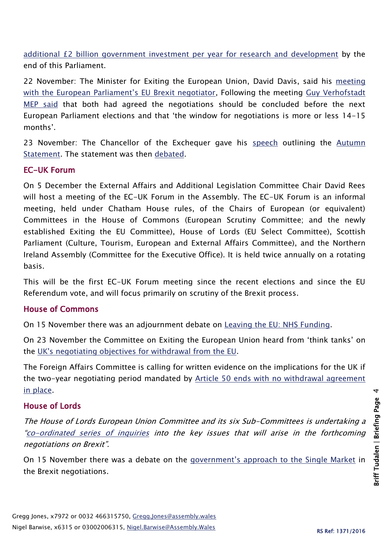[additional £2 billion government investment per year for research and development](https://www.gov.uk/government/news/pm-announces-a-2-billion-investment-in-research-and-development) by the end of this Parliament.

22 November: The Minister for Exiting the European Union, David Davis, said his meeting [with the European Parliament's EU Brexit negotiator](http://www.bbc.co.uk/news/uk-politics-38061035), Following the meeting Guy Verhofstadt MEP [said](http://www.politico.eu/article/guy-verhofstadt-to-david-davis-welcome-to-hell-brexit-negotiation-brussels-europe/) that both had agreed the negotiations should be concluded before the next European Parliament elections and that 'the window for negotiations is more or less 14-15 months'.

23 November: The Chancellor of the Exchequer gave his [speech](https://www.gov.uk/government/speeches/autumn-statement-2016-philip-hammonds-speech) outlining the [Autumn](https://www.gov.uk/government/uploads/system/uploads/attachment_data/file/571559/autumn_statement_2016_web.pdf)  [Statement.](https://www.gov.uk/government/uploads/system/uploads/attachment_data/file/571559/autumn_statement_2016_web.pdf) The statement was then [debated.](https://www.gov.uk/government/speeches/autumn-statement-2016-philip-hammonds-speech)

#### EC-UK Forum

On 5 December the External Affairs and Additional Legislation Committee Chair David Rees will host a meeting of the EC-UK Forum in the Assembly. The EC-UK Forum is an informal meeting, held under Chatham House rules, of the Chairs of European (or equivalent) Committees in the House of Commons (European Scrutiny Committee; and the newly established Exiting the EU Committee), House of Lords (EU Select Committee), Scottish Parliament (Culture, Tourism, European and External Affairs Committee), and the Northern Ireland Assembly (Committee for the Executive Office). It is held twice annually on a rotating basis.

This will be the first EC-UK Forum meeting since the recent elections and since the EU Referendum vote, and will focus primarily on scrutiny of the Brexit process.

#### House of Commons

On 15 November there was an adjournment debate on [Leaving the EU: NHS Funding.](https://hansard.parliament.uk/commons/2016-11-15/debates/AF1EE51D-0D87-4C32-9363-A6A5419659AF/LeavingTheEUNHSFunding)

On 23 November the Committee on Exiting the European Union heard from 'think tanks' on the [UK's negotiating objectives for withdrawal from the EU.](http://www.parliament.uk/business/committees/committees-a-z/commons-select/exiting-the-european-union-committee/news-parliament-2015/negotiating-objectives-for-withdrawal-from-eu-evidence-16-17/)

The Foreign Affairs Committee is calling for written evidence on the implications for the UK if the two-year negotiating period mandated by Article 50 ends with no withdrawal agreement [in place.](http://www.parliament.uk/business/committees/committees-a-z/commons-select/foreign-affairs-committee/news-parliament-2015/eu-results-launch2-16-17/)

### House of Lords

The House of Lords European Union Committee and its six Sub-Committees is undertaking a "[co-ordinated series of inquiries](http://www.parliament.uk/business/committees/committees-a-z/lords-select/eu-select-committee-/news-parliament-2015/co-ordinated-inquries-launch/) into the key issues that will arise in the forthcoming negotiations on Brexit".

On 15 November there was a debate on the [government's approach to the Single Market](https://hansard.parliament.uk/Lords/2016-11-15/debates/E0AE92DD-9232-4D90-B67D-3CF6592A658C/UnitedKingdomSingleMarket) in the Brexit negotiations.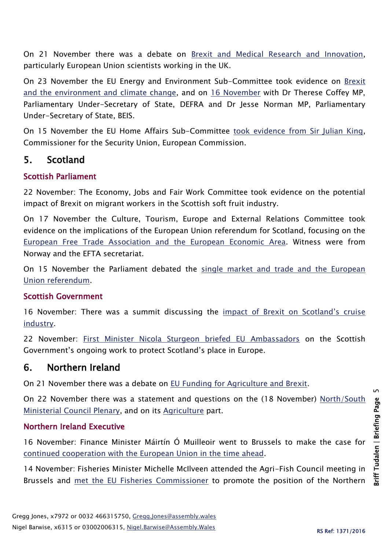On 21 November there was a debate on [Brexit and Medical Research and Innovation,](https://hansard.parliament.uk/Lords/2016-11-21/debates/BA508876-B13C-490A-96B4-0DF6AAE52A61/BrexitMedicalResearchAndInnovation) particularly European Union scientists working in the UK.

On 23 November the EU Energy and Environment Sub-Committee took evidence on Brexit [and the environment and climate change,](http://www.parliament.uk/business/committees/committees-a-z/lords-select/eu-energy-environment-subcommittee/inquiries/parliament-2015/brexit-environment-and-climate-change/) and on [16 November](http://www.parliament.uk/business/committees/committees-a-z/lords-select/eu-energy-environment-subcommittee/news-parliament-2015/ministers-env-cc-brexit/) with Dr Therese Coffey MP, Parliamentary Under-Secretary of State, DEFRA and Dr Jesse Norman MP, Parliamentary Under-Secretary of State, BEIS.

On 15 November the EU Home Affairs Sub-Committee [took evidence from Sir Julian King,](http://data.parliament.uk/writtenevidence/committeeevidence.svc/evidencedocument/eu-home-affairs-subcommittee/the-security-union/oral/43566.html) Commissioner for the Security Union, European Commission.

# 5. Scotland

### Scottish Parliament

22 November: The Economy, Jobs and Fair Work Committee took evidence on the potential impact of Brexit on migrant workers in the Scottish soft fruit industry.

On 17 November the Culture, Tourism, Europe and External Relations Committee took evidence on the implications of the European Union referendum for Scotland, focusing on the [European Free Trade Association and the European Economic Area.](http://www.parliament.scot/parliamentarybusiness/report.aspx?r=10636&i=97765) Witness were from Norway and the EFTA secretariat.

On 15 November the Parliament debated the [single market and trade and the European](http://www.parliament.scot/parliamentarybusiness/report.aspx?r=10626&i=97686)  [Union referendum.](http://www.parliament.scot/parliamentarybusiness/report.aspx?r=10626&i=97686)

### Scottish Government

16 November: There was a summit discussing the *impact* of Brexit on Scotland's cruise [industry.](http://news.gov.scot/news/impact-of-brexit-on-cruise-tourism)

22 November: [First Minister Nicola Sturgeon briefed EU Ambassadors](http://news.gov.scot/news/first-minister-meets-eu-ambassadors) on the Scottish Government's ongoing work to protect Scotland's place in Europe.

### 6. Northern Ireland

On 21 November there was a debate on [EU Funding for Agriculture and Brexit.](http://aims.niassembly.gov.uk/officialreport/report.aspx?&eveDate=2016/11/21&docID=281881#2489791)

On 22 November there was a statement and questions on the (18 November) [North/South](http://aims.niassembly.gov.uk/officialreport/report.aspx?&eveDate=2016/11/22&docID=281882#2492000)  [Ministerial Council Plenary,](http://aims.niassembly.gov.uk/officialreport/report.aspx?&eveDate=2016/11/22&docID=281882#2492000) and on its [Agriculture](http://aims.niassembly.gov.uk/officialreport/report.aspx?&eveDate=2016/11/22&docID=281882#2492215) part.

### Northern Ireland Executive

16 November: Finance Minister Máirtín Ó Muilleoir went to Brussels to make the case for [continued cooperation with the European Union in the time ahead.](https://www.finance-ni.gov.uk/news/o-muilleoir-calls-continued-cooperation-eu)

14 November: Fisheries Minister Michelle McIlveen attended the Agri-Fish Council meeting in Brussels and [met the EU Fisheries Commissioner](https://www.daera-ni.gov.uk/news/mcilveen-meets-eu-fisheries-commissioner) to promote the position of the Northern